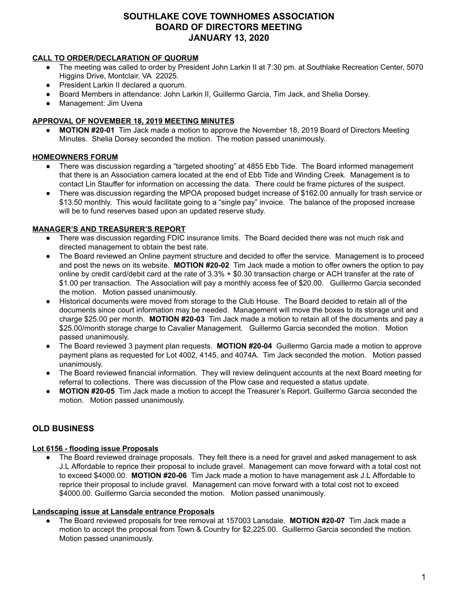# **SOUTHLAKE COVE TOWNHOMES ASSOCIATION BOARD OF DIRECTORS MEETING JANUARY 13, 2020**

## **CALL TO ORDER/DECLARATION OF QUORUM**

- The meeting was called to order by President John Larkin II at 7:30 pm. at Southlake Recreation Center, 5070 Higgins Drive, Montclair, VA 22025.
- President Larkin II declared a quorum.
- Board Members in attendance: John Larkin II, Guillermo Garcia, Tim Jack, and Shelia Dorsey.
- Management: Jim Uvena

# **APPROVAL OF NOVEMBER 18, 2019 MEETING MINUTES**

**● MOTION #20-01** Tim Jack made a motion to approve the November 18, 2019 Board of Directors Meeting Minutes. Shelia Dorsey seconded the motion. The motion passed unanimously.

# **HOMEOWNERS FORUM**

- There was discussion regarding a "targeted shooting" at 4855 Ebb Tide. The Board informed management that there is an Association camera located at the end of Ebb Tide and Winding Creek. Management is to contact Lin Stauffer for information on accessing the data. There could be frame pictures of the suspect.
- There was discussion regarding the MPOA proposed budget increase of \$162.00 annually for trash service or \$13.50 monthly. This would facilitate going to a "single pay" invoice. The balance of the proposed increase will be to fund reserves based upon an updated reserve study.

# **MANAGER'S AND TREASURER'S REPORT**

- There was discussion regarding FDIC insurance limits. The Board decided there was not much risk and directed management to obtain the best rate.
- The Board reviewed an Online payment structure and decided to offer the service. Management is to proceed and post the news on its website. **MOTION #20-02** Tim Jack made a motion to offer owners the option to pay online by credit card/debit card at the rate of 3.3% + \$0.30 transaction charge or ACH transfer at the rate of \$1.00 per transaction. The Association will pay a monthly access fee of \$20.00. Guillermo Garcia seconded the motion. Motion passed unanimously.
- Historical documents were moved from storage to the Club House. The Board decided to retain all of the documents since court information may be needed. Management will move the boxes to its storage unit and charge \$25.00 per month. **MOTION #20-03** Tim Jack made a motion to retain all of the documents and pay a \$25.00/month storage charge to Cavalier Management. Guillermo Garcia seconded the motion. Motion passed unanimously.
- The Board reviewed 3 payment plan requests. **MOTION #20-04** Guillermo Garcia made a motion to approve payment plans as requested for Lot 4002, 4145, and 4074A. Tim Jack seconded the motion. Motion passed unanimously.
- The Board reviewed financial information. They will review delinquent accounts at the next Board meeting for referral to collections. There was discussion of the Plow case and requested a status update.
- **MOTION #20-05** Tim Jack made a motion to accept the Treasurer's Report. Guillermo Garcia seconded the motion. Motion passed unanimously.

# **OLD BUSINESS**

## **Lot 6156 - flooding issue Proposals**

The Board reviewed drainage proposals. They felt there is a need for gravel and asked management to ask J.L Affordable to reprice their proposal to include gravel. Management can move forward with a total cost not to exceed \$4000.00. **MOTION #20-06** Tim Jack made a motion to have management ask J.L Affordable to reprice their proposal to include gravel. Management can move forward with a total cost not to exceed \$4000.00. Guillermo Garcia seconded the motion. Motion passed unanimously.

## **Landscaping issue at Lansdale entrance Proposals**

● The Board reviewed proposals for tree removal at 157003 Lansdale. **MOTION #20-07** Tim Jack made a motion to accept the proposal from Town & Country for \$2,225.00. Guillermo Garcia seconded the motion. Motion passed unanimously.